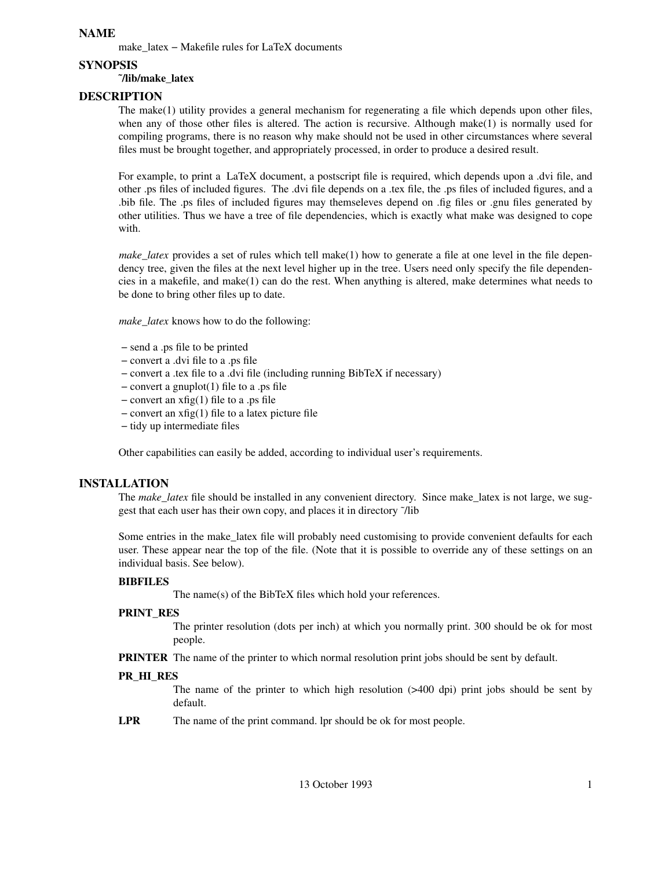## **NAME**

make\_latex – Makefile rules for LaTeX documents

**SYNOPSIS**

## **˜/lib/make\_latex**

# **DESCRIPTION**

The make(1) utility provides a general mechanism for regenerating a file which depends upon other files, when any of those other files is altered. The action is recursive. Although make(1) is normally used for compiling programs, there is no reason why make should not be used in other circumstances where several files must be brought together, and appropriately processed, in order to produce a desired result.

For example, to print a LaTeX document, a postscript file is required, which depends upon a .dvi file, and other .ps files of included figures. The .dvi file depends on a .tex file, the .ps files of included figures, and a .bib file. The .ps files of included figures may themseleves depend on .fig files or .gnu files generated by other utilities. Thus we have a tree of file dependencies, which is exactly what make was designed to cope with.

*make latex* provides a set of rules which tell make(1) how to generate a file at one level in the file dependency tree, given the files at the next level higher up in the tree. Users need only specify the file dependencies in a makefile, and make(1) can do the rest. When anything is altered, make determines what needs to be done to bring other files up to date.

*make\_latex* knows how to do the following:

- − send a .ps file to be printed
- − convert a .dvi file to a .ps file
- − convert a .tex file to a .dvi file (including running BibTeX if necessary)
- − convert a gnuplot(1) file to a .ps file
- − convert an xfig(1) file to a .ps file
- − convert an xfig(1) file to a latex picture file
- − tidy up intermediate files

Other capabilities can easily be added, according to individual user's requirements.

## **INSTALLATION**

The *make\_latex* file should be installed in any convenient directory. Since make\_latex is not large, we suggest that each user has their own copy, and places it in directory ˜/lib

Some entries in the make\_latex file will probably need customising to provide convenient defaults for each user. These appear near the top of the file. (Note that it is possible to override any of these settings on an individual basis. See below).

## **BIBFILES**

The name(s) of the BibTeX files which hold your references.

## **PRINT\_RES**

The printer resolution (dots per inch) at which you normally print. 300 should be ok for most people.

**PRINTER** The name of the printer to which normal resolution print jobs should be sent by default.

## **PR\_HI\_RES**

The name of the printer to which high resolution  $($ >400 dpi) print jobs should be sent by default.

**LPR** The name of the print command. lpr should be ok for most people.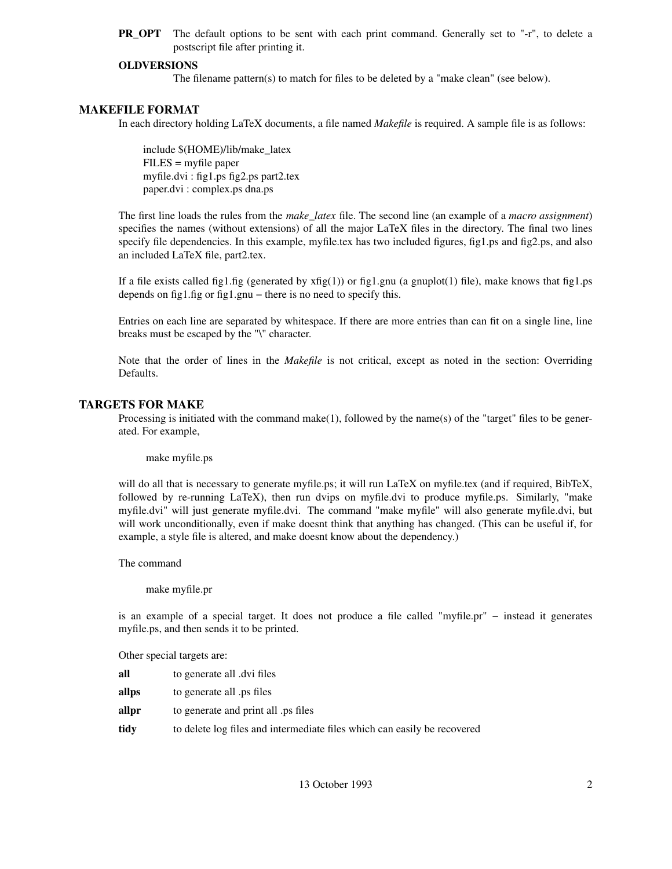**PR\_OPT** The default options to be sent with each print command. Generally set to "-r", to delete a postscript file after printing it.

## **OLDVERSIONS**

The filename pattern(s) to match for files to be deleted by a "make clean" (see below).

#### **MAKEFILE FORMAT**

In each directory holding LaTeX documents, a file named *Makefile* is required. A sample file is as follows:

include \$(HOME)/lib/make\_latex FILES = myfile paper myfile.dvi : fig1.ps fig2.ps part2.tex paper.dvi : complex.ps dna.ps

The first line loads the rules from the *make\_latex* file. The second line (an example of a *macro assignment*) specifies the names (without extensions) of all the major LaTeX files in the directory. The final two lines specify file dependencies. In this example, myfile.tex has two included figures, fig1.ps and fig2.ps, and also an included LaTeX file, part2.tex.

If a file exists called fig1.fig (generated by  $xfig(1)$ ) or fig1.gnu (a gnuplot(1) file), make knows that fig1.ps depends on fig1.fig or fig1.gnu – there is no need to specify this.

Entries on each line are separated by whitespace. If there are more entries than can fit on a single line, line breaks must be escaped by the "\" character.

Note that the order of lines in the *Makefile* is not critical, except as noted in the section: Overriding Defaults.

#### **TARGETS FOR MAKE**

Processing is initiated with the command make(1), followed by the name(s) of the "target" files to be generated. For example,

make myfile.ps

will do all that is necessary to generate myfile.ps; it will run LaTeX on myfile.tex (and if required, BibTeX, followed by re-running LaTeX), then run dvips on myfile.dvi to produce myfile.ps. Similarly, "make myfile.dvi" will just generate myfile.dvi. The command "make myfile" will also generate myfile.dvi, but will work unconditionally, even if make doesnt think that anything has changed. (This can be useful if, for example, a style file is altered, and make doesnt know about the dependency.)

The command

make myfile.pr

is an example of a special target. It does not produce a file called "myfile.pr" − instead it generates myfile.ps, and then sends it to be printed.

Other special targets are:

| all   | to generate all dvi files                                                |
|-------|--------------------------------------------------------------------------|
| allps | to generate all ps files                                                 |
| allpr | to generate and print all ps files                                       |
| tidy  | to delete log files and intermediate files which can easily be recovered |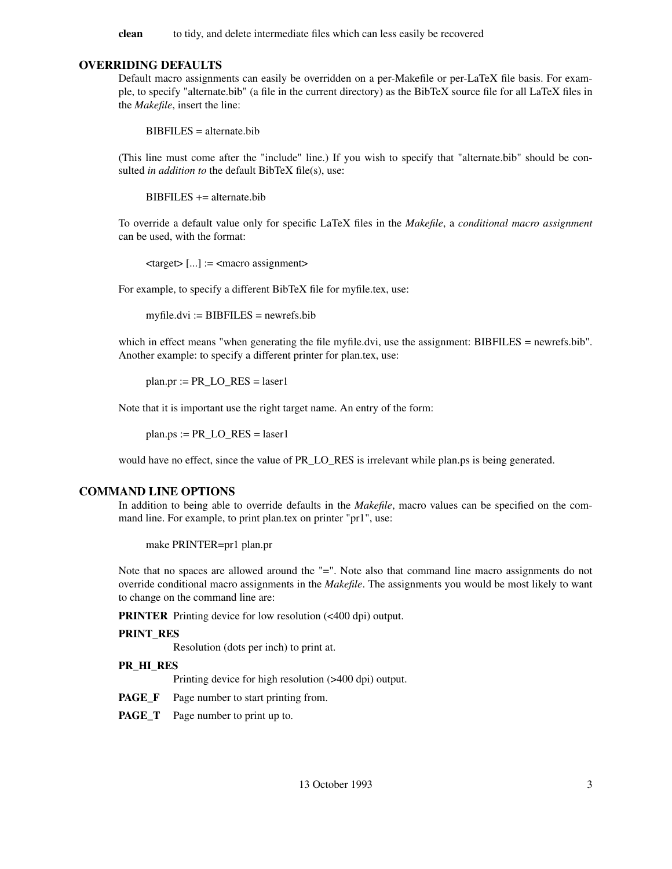**clean** to tidy, and delete intermediate files which can less easily be recovered

## **OVERRIDING DEFAULTS**

Default macro assignments can easily be overridden on a per-Makefile or per-LaTeX file basis. For example, to specify "alternate.bib" (a file in the current directory) as the BibTeX source file for all LaTeX files in the *Makefile*, insert the line:

 $BIBFILES = alternate.bib$ 

(This line must come after the "include" line.) If you wish to specify that "alternate.bib" should be consulted *in addition to* the default BibTeX file(s), use:

 $BIBFILES += alternate.bib$ 

To override a default value only for specific LaTeX files in the *Makefile*, a *conditional macro assignment* can be used, with the format:

 $\langle \text{target} \rangle$  [...] :=  $\langle \text{macro assignment} \rangle$ 

For example, to specify a different BibTeX file for myfile.tex, use:

 $myfile.dvi := BIBFILES = newrefs.bib$ 

which in effect means "when generating the file myfile.dvi, use the assignment: BIBFILES = newrefs.bib". Another example: to specify a different printer for plan.tex, use:

 $plan.pr := PR$  LO  $RES = laser1$ 

Note that it is important use the right target name. An entry of the form:

 $plan.ps := PR\_LO\_RES = laser1$ 

would have no effect, since the value of PR\_LO\_RES is irrelevant while plan.ps is being generated.

#### **COMMAND LINE OPTIONS**

In addition to being able to override defaults in the *Makefile*, macro values can be specified on the command line. For example, to print plan.tex on printer "pr1", use:

make PRINTER=pr1 plan.pr

Note that no spaces are allowed around the "=". Note also that command line macro assignments do not override conditional macro assignments in the *Makefile*. The assignments you would be most likely to want to change on the command line are:

**PRINTER** Printing device for low resolution (<400 dpi) output.

#### **PRINT\_RES**

Resolution (dots per inch) to print at.

#### **PR\_HI\_RES**

Printing device for high resolution (>400 dpi) output.

**PAGE\_F** Page number to start printing from.

**PAGE\_T** Page number to print up to.